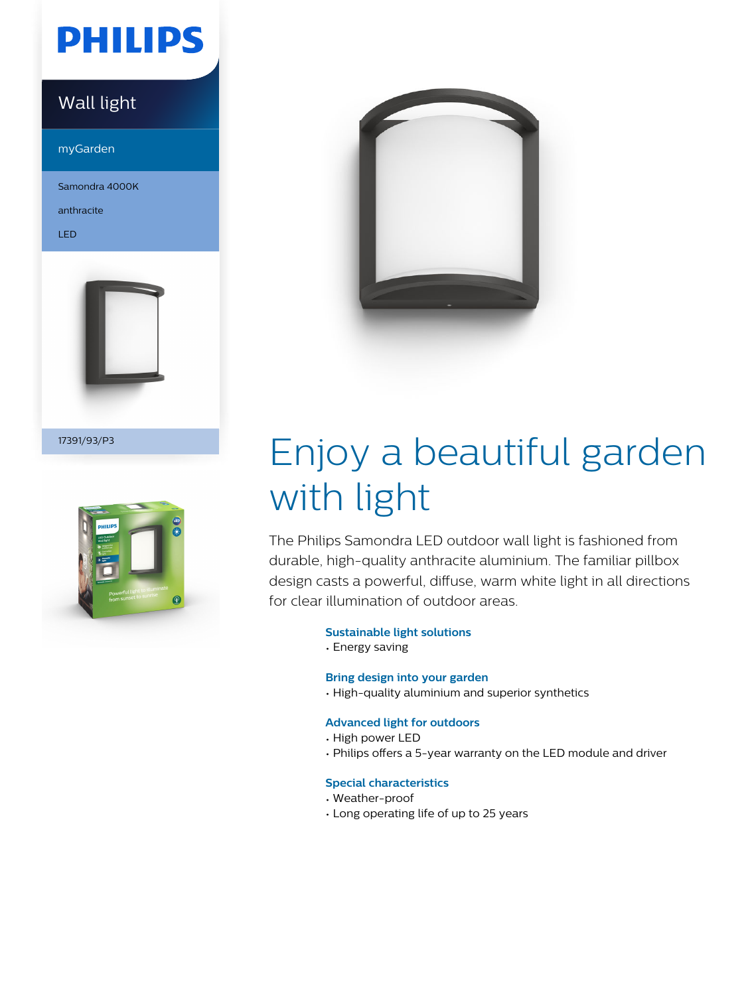## **PHILIPS**

### Wall light

myGarden

Samondra 4000K

anthracite

LED



17391/93/P3





# Enjoy a beautiful garden with light

The Philips Samondra LED outdoor wall light is fashioned from durable, high-quality anthracite aluminium. The familiar pillbox design casts a powerful, diffuse, warm white light in all directions for clear illumination of outdoor areas.

#### **Sustainable light solutions**

• Energy saving

#### **Bring design into your garden**

• High-quality aluminium and superior synthetics

#### **Advanced light for outdoors**

- High power LED
- Philips offers a 5-year warranty on the LED module and driver

#### **Special characteristics**

- Weather-proof
- Long operating life of up to 25 years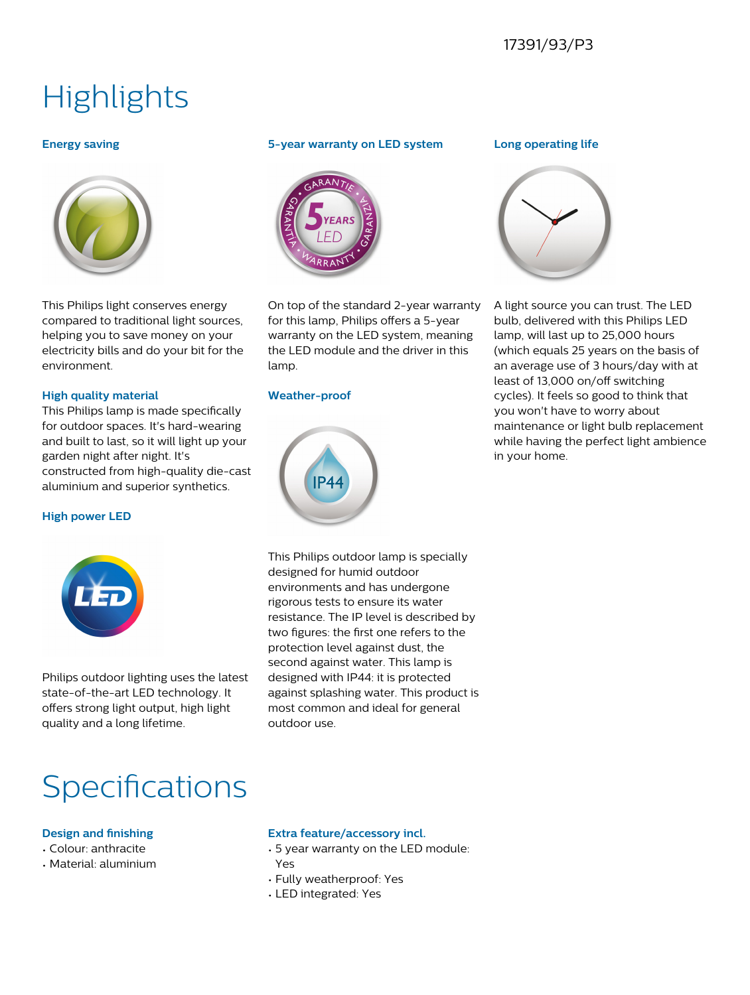## **Highlights**

#### **Energy saving**



This Philips light conserves energy compared to traditional light sources, helping you to save money on your electricity bills and do your bit for the environment.

#### **High quality material**

This Philips lamp is made specifically for outdoor spaces. It's hard-wearing and built to last, so it will light up your garden night after night. It's constructed from high-quality die-cast aluminium and superior synthetics.

#### **High power LED**



Philips outdoor lighting uses the latest state-of-the-art LED technology. It offers strong light output, high light quality and a long lifetime.

#### **5-year warranty on LED system**



On top of the standard 2-year warranty for this lamp, Philips offers a 5-year warranty on the LED system, meaning the LED module and the driver in this lamp.

#### **Weather-proof**



This Philips outdoor lamp is specially designed for humid outdoor environments and has undergone rigorous tests to ensure its water resistance. The IP level is described by two figures: the first one refers to the protection level against dust, the second against water. This lamp is designed with IP44: it is protected against splashing water. This product is most common and ideal for general outdoor use.

## **Specifications**

#### **Design and finishing**

- Colour: anthracite
- Material: aluminium

#### **Extra feature/accessory incl.**

- 5 year warranty on the LED module: Yes
- Fully weatherproof: Yes
- LED integrated: Yes

#### **Long operating life**



A light source you can trust. The LED bulb, delivered with this Philips LED lamp, will last up to 25,000 hours (which equals 25 years on the basis of an average use of 3 hours/day with at least of 13,000 on/off switching cycles). It feels so good to think that you won't have to worry about maintenance or light bulb replacement while having the perfect light ambience in your home.